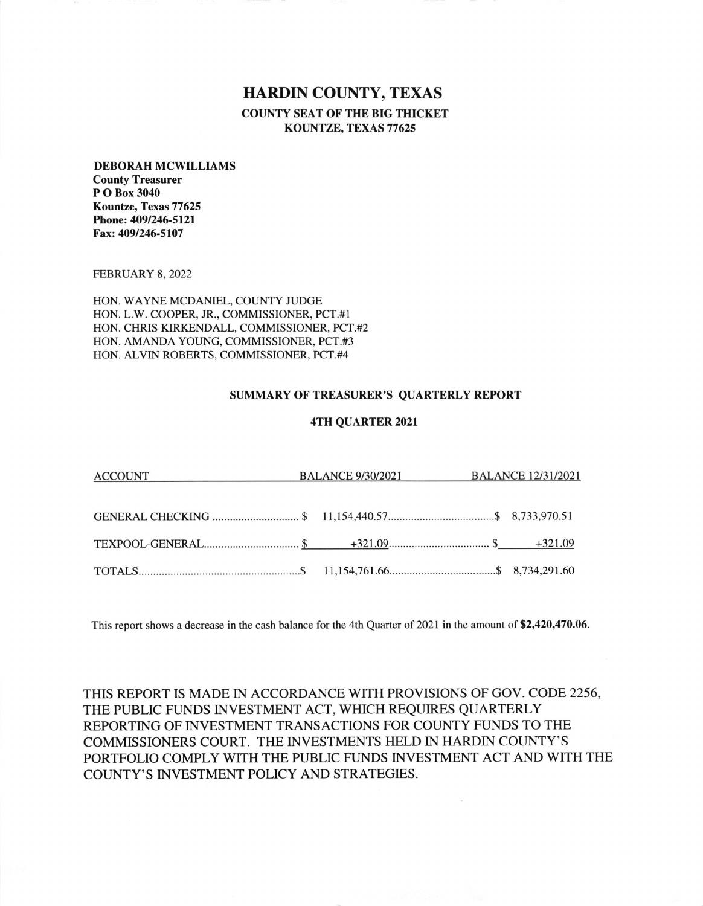# HARDIN COUNTY, TEXAS

COUNTY SEAT OF THE BIG THICKET KOUNTZE, TEXAS 77625

#### DEBORAH MCWILLIAMS

County Treasurer P O Box 3040 Kountze, Texas 77625 Phone: 4091246-512l Fax: 4091246-5107

FEBRUARY 8, 2022

HON. WAYNE MCDANIEL, COUNTY JUDGE HON. L.W. COOPER, JR., COMMISSIONER, PCT.#I HON. CHRIS KIRKENDALL, COMMISSIONER, PCT.#2 HON. AMANDA YOUNG, COMMISSIONER, PCT.#3 HON. ALVIN ROBERTS, COMMISSIONER, PCT.#4

## SUMMARY OF TREASURER'S QUARTERLY REPORT

## 4TH QUARTER 2021

| ACCOUNT BALANCE 9/30/2021 BALANCE 12/31/2021 |  |  |
|----------------------------------------------|--|--|
|                                              |  |  |
|                                              |  |  |
|                                              |  |  |

This report shows a decrease in the cash balance for the 4th Quarter of 2021 in the amount of \$2,420,470.06.

THIS REPORT IS MADE IN ACCORDANCE WITH PROVISIONS OF GOV. CODE 2256, THE PUBLIC FUNDS INVESTMENT ACT, WHICH REQUIRES QUARTERLY REPORTING OF INVESTMENT TRANSACTIONS FOR COUNTY FUNDS TO THE COMMISSIONERS COURT. THE INVESTMENTS HELD IN HARDIN COUNTY'S PORTFOLIO COMPLY WITH THE PUBLIC FUNDS INVESTMENT ACT AND WITH THE COUNTY'S INVESTMENT POLICY AND STRATEGIES.